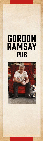# GORDON **RAMSAY** PUB

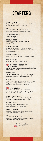## **STARTERS**

TUNA TARTARE English Cucumber, Yuzu, Avocado Purée, Fleur De Sel, Sweet Citrus Soy 15

FRESHLY POPPED POPCORN Cheddar, Buffalo, Ranch or Curry 5

V TRUFFLE FRIES Truffle Mayo 9

DEVILED EGGS Farm Eggs, Sweet Maine Lobster,<br>Caviar 14 Caviar

CURED MEAT BOARD House Chicken Liver Mousse, Duck Rillettes, Seasonal Artisanal Cheeses & Cured Meats 16

CRISPY CALAMARI Lemon Chips, Kale, Malt Vinegar Mayo 15

SHRIMP COCKTAIL Poached in Lemon Shandy 19

**NE** MOLASSES & BROWN ALE GLAZED WINGS Green Apple, Jalapeño, Crumbled Stilton Blue, Green Onion 12

SCOTCH EGG Crisp Soft-Boiled Egg, Pork Sausage, Braised Cabbage, Mustard Sauce 11

#### PUB SPOTS

Two 3 oz. Sliders, Balsamic Red Onions, English Sharp Cheddar, Brioche Bun 12 Add Maple-Peppercorn Bacon 2

**DUCK POUTINE** Duck Confit, Melted Cheddar Cheese Curds, Port Wine "Gravy," Crispy Potato Fries, Pickled Chili, Green Onion 13

CRISPY PORK BELLY 48-Hour Slow-Cooked Pork Belly, Cardamom Carrot Purée, Cider-Honey Glaze 15

LOBSTER ROLL Lobster, Leek, Meyer Lemon Mayo, Toasted Split Top Roll 20

LAMB CAVATELLI Fennel Pollen, Pecorino Cream Sauce, Toasted Brioche Crumbs 16

V MUSHROOM CAVATELLI Fennel Pollen, Pecorino Cream Sauce, Toasted Brioche Crumbs 13

> = Vegetarian = Pub Favorite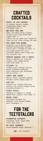## **CRAFTED COCKTAILS**

#### GIDDY UP YOU DONKEY

El Jimador Tequila, Smoked Elderflower Honey, Lime, Strongbow Cider 16

#### SHE MIND THE GAP

Ketel One Vodka, Pavan Liqueur, Passion Fruit, Lime, Fever-Tree Ginger Beer 16

After a Few of These, Don't Forget to 'Mind the Gap'' While Exiting the Tube'

#### GOD SAVE THE QUEEN

Hendrick's Gin, Dubonnet Rouge, Muddled Strawberries, Amarena Cherry with a Squeeze of Lemon 16 The Queen Drinks Her Gin & Dubonnet Before Lunch Every Day. Why Shouldn't You?

#### GORDON RAMSAY GIN & TONIC

Bombay Sapphire Gin, Aloe Vera Liqueur, Yuzu, Simple Syrup, Fever-Tree Tonic 15

#### MCILROY 18

Jameson Irish Whiskey, Caraway Syrup, Chamomile Lemonade, Irish Breakfast Tea, Bittermens Boston Bittahs 14

#### CAPPS AND DARTS

Dewar's Scotch, Woodford Reserve Bourbon, Salted Honey Syrup 16

#### THE VIC

Bacardi Rum, Campari, Belhaven Scottish Ale, Vanilla Simple Syrup, Chocolate Bitters 14

#### FIRST FOLIO Hennessy V.S Cognac, St. George Spiced Pear Liqueur, Date Purée 15

#### ROYAL LUSH

Disaronno Amaretto, Dry Vermouth, Plum Bitters Topped with Champagne 14

## FOR THE **TEETOTALERS**

#### PINEAPPLE EXPRESS

Pineapple Juice, Ginger Beer, Fresh Lime Juice 8

MY MAIN SQUEEZE House-Squeezed Meyer Lemonade 8

 $=$  Pub Favorite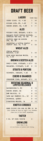## DRAFT BEER

| <b>LAGERS</b>                                             | SHORT TALL      |                 |  |
|-----------------------------------------------------------|-----------------|-----------------|--|
| COORS LIGHT, CO, 4.2%                                     | 7 10            |                 |  |
| MILLER LITE, WI, 4.2%                                     | 7 <sup>10</sup> |                 |  |
| SAMUEL ADAMS, MA, 4.9%                                    | 8 11            |                 |  |
| <b>ALES</b>                                               |                 |                 |  |
| FULLER'S ESB, ENGLAND, 5.9% 9                             |                 | 13              |  |
| BALLAST POINT TONGUE BUCKLER,<br>IMPERIAL RED ALE, CA 10% | 8               | 12              |  |
| DOGFISH HEAD 90 MINUTE<br>IPA, DE, 9%                     | 9               | 13              |  |
| LAGUNITAS A LITTLE SUMPIN'<br>SUMPIN' ALE, CA, 7.5%       | 8               | $\frac{12}{12}$ |  |
| <b>WHEAT ALES</b>                                         |                 |                 |  |
| STELLA ARTOIS,<br>BELGIUM, 5.2%                           | 8 12            |                 |  |
| BLUE MOON BELGIAN WHITE,<br>00, 5.4%                      |                 | 8 12            |  |
| <b>BROWN &amp; SCOTCH ALES</b>                            |                 |                 |  |
| INNIS & GUNN, SCOTLAND, 6.6% 8                            |                 | 12              |  |
| BELHAVEN, SCOTLAND, 5.2% 9                                |                 | 13              |  |
| STOUTS & PORTERS                                          |                 |                 |  |
| GUINNESS, IRELAND, 4.2% 8                                 |                 | 12              |  |
| <b>CIDERS &amp; SHANDIES</b>                              |                 |                 |  |
| STRONGBOW CIDER, ENGLAND, 5% 8 12                         |                 |                 |  |
| ROTATING SEASONAL &<br><b>LIMITED RELEASES</b>            |                 |                 |  |
| LEINENKUGEL'S, WI                                         | 9               | 13              |  |
| SAMUEL ADAMS, MA                                          | 9               | 13              |  |
| NEW BELGIUM, CO                                           | 9               | 13              |  |
| CAPE MAY BREWING CO., NJ 9                                |                 | 13              |  |
| UNIBROUE, QUEBEC                                          | $9 -$           | 13              |  |
| FIRESTONE WALKER, CA                                      | 9               | 13              |  |
| KNOTS & CROSSES                                           |                 |                 |  |

BEER FLIGHT FOR ONE OR TWO 12 24 Your Choice of Four or Eight 4 oz. Tasters From the GR Pub Draft Selection

### TASTER

4 OZ. OF YOUR CHOICE 3

### GROWLERS

Full Size 64 oz. Ask Your Barman or Barmaid About Pricing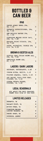## BOTTLED & CAN BEER

#### IPAS

| SAMUEL ADAMS REBEL IPA,<br>MA, 6.5%                           | 8 |
|---------------------------------------------------------------|---|
| TERRAPIN HOPSECUTIONER, IPA,<br>GA, 7.3%                      | 8 |
| NEW BELGIUM RANGER IPA,<br>00, 6.5%                           | 9 |
| FIRESTONE WALKER UNION JACK.<br>IPA, CA, 7.0%                 | 9 |
| BALLAST POINT SCULPIN, IPA,<br>CA. 7.0%                       | 9 |
| STONE, RUINATION, DOUBLE IPA<br>$2.0, \, \text{CA}, \, 8.5\%$ | 9 |

#### BROWN & SCOTCH ALES

| DOGFISH HEAD INDIAN BROWN ALE,<br>IPA, DE, 7.2% | 8 |
|-------------------------------------------------|---|
| NEWCASTLE BROWN ALE,<br>NY, 4.7%                | 8 |

### LAGERS / DARK LAGERS

| HEINEKEN, NETHERLANDS, 5.0%                   | 8 |
|-----------------------------------------------|---|
| CORONA EXTRA, MEXICO, 4.6%                    | 8 |
| PILSNER URQUELL, CZECH, 4.4%                  | 8 |
| HOP VALLEY CZECH YOUR HEAD, PILSNER, OR, 5.5% | 8 |
| SIERRA NEVADA NOONER, PILSNER, CA, 5.2%       |   |

### LOCAL SEASONALS

ASK ABOUT THE BEST SEASONAL BREWS THIS SIDE OF THE POND

| <b>LIMITED RELEASES</b> |   |  |  |
|-------------------------|---|--|--|
| TERRAPIN, GA            | 9 |  |  |
| BALLAST POINT, CA       | 9 |  |  |
| ANCHOR STEAM, CA        | 9 |  |  |
| FIRESTONE WALKER, CA    | 9 |  |  |
| SAMUEL ADAMS, MA        | 9 |  |  |
| UNIBROUE, QUEBEC        | 9 |  |  |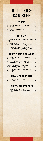## BOTTLED & CAN BEER

### **WHEAT**

| SAMUEL ADAMS CHERRY WHEAT,<br>MA, 5.3% | 8 |  |
|----------------------------------------|---|--|
| BLUE MOON MANGO WHEAT, CO, 5.4%        | 8 |  |

### BELGIANS

| NEW BELGIUM ABBEY DUBBEL ALE, CO,                        |    |
|----------------------------------------------------------|----|
| NEW BELGIUM TRIPPEL<br>BELGIUM STYLE ALE, CO, 8.5%       | 10 |
| UNIBROUE À TOUT LE MONDE,<br>BELGIAN STYLE, QUEBEC, 4.5% | 10 |

### FRUIT, CIDERS & SHANDIES

| LEINENKUGEL'S BERRY WEISS,<br>WI, 4.9%               | 8 |
|------------------------------------------------------|---|
| BALLAST POINT SOUR WENCH<br>BLACKBERRY ALE, CA, 7.0% | 8 |
| ANGRY ORCHARD CRISP APPLE HARD CIDER, NY, 5.0%       | 8 |
| HOEGAARDEN FORBIDDEN FRUIT,<br>UK. 8.5%              | 8 |

### NON-ALCOHOLIC BEER

SHARP'S, NON-ALCOHOLIC,  $W1, 0.40\%$  7

### GLUTEN REDUCED BEER

| NEW BELGIUM, GLUTINY,     |  |   |
|---------------------------|--|---|
| CO, 6%, LESS THAN 20% PPM |  | 9 |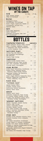## WINES ON TAP BY THE CARAFE

| ROSE                                               | $8.5 \, 02.$ | 17 OZ. |
|----------------------------------------------------|--------------|--------|
| Rosé, Maison Saleya,<br>Côtes De Provence          | 13           | 22     |
| WHITES                                             |              |        |
| Sauvignon Blanc,<br>Starborough, Marlborough       | 16           | 27     |
| Pinot Grigio, Caposaldo, Veneto 14                 |              | 24     |
| Chardonnay, William Hill,<br>Central Coast         | 14           | 24     |
| <b>REDS</b>                                        |              |        |
| Pinot Noir, Seaglass,<br>Santa Barbara             | 75           | 25     |
| Cabernet Sauvignon, Joel Gott<br>"815", California | 19           | 29     |
|                                                    |              |        |

## **BOTTLES**

| CHAMPAGNE/SPARKLING                                                |                      | <b>GLASS   BOTTLE</b> |
|--------------------------------------------------------------------|----------------------|-----------------------|
| Veuve Clicquot, Yellow Label, France                               |                      | I<br>744              |
| Moët & Chandon, Impérial, France                                   |                      | I<br>110              |
| J Vineyards Brut Rosé, California                                  |                      | I<br>85               |
| La Marca Prosecco, Italy                                           | 11                   | $\mathbf{I}$<br>47    |
|                                                                    |                      |                       |
| SAUVIGNON BLANC                                                    |                      |                       |
| Cloudy Bay, New Zealand                                            |                      | I<br>80               |
| Kim Crawford, Marlborough,                                         |                      |                       |
| New Zealand                                                        | 12 <sup>1</sup>      | 40                    |
| Emmolo, Napa Valley                                                |                      | I<br>65               |
| CHARDONNAY                                                         |                      |                       |
| Sonoma-Cutrer, Sonoma Coast                                        | 16                   | L<br>65               |
| Cakebread Cellars, Napa Valley                                     |                      | I<br>105              |
| Joel Gott, "Unoaked", California                                   |                      | I<br>60               |
| Charles Smith, Washington                                          | 12                   | I<br>48               |
|                                                                    |                      |                       |
| OTHER WHITES                                                       |                      |                       |
| White Blend, Conundrum, California                                 | 12<br>$\overline{1}$ | 44                    |
| Chenin Blanc, Domaine Pichot                                       |                      |                       |
| Vouvray, Loire Valley, France                                      |                      | I<br>45               |
| Riesling, Chateau Ste. Michelle,                                   |                      |                       |
| Eroica, Washington                                                 |                      | I<br>56               |
| Pinot Grigio, Terlato Vineyards, Italy                             |                      | I<br>48               |
| Moscato, Caposaldo, Provincia di                                   |                      |                       |
| Pavia, Lombardy, Italy                                             | 10<br>$\overline{1}$ | 38                    |
| PINOT NOIR                                                         |                      |                       |
| WillaKenzie "Estate",                                              |                      |                       |
| Willamette, Oregon                                                 | 17                   | I<br>75               |
| Meiomi, Sonoma Coast                                               |                      | I<br>66               |
| Flowers, Sonoma Coast                                              |                      | I<br>115              |
| MacMurray Estate, California                                       |                      | I<br>85               |
| Ramsay, North Coast                                                | 11                   | I<br>45               |
| MERLOT                                                             |                      |                       |
|                                                                    |                      |                       |
| Ramsay, North Coast                                                | 11                   | I<br>46               |
| Duckhorn Vineyards, Napa Valley                                    |                      | I<br>137              |
| St. Francis Winery, Sonoma Valley                                  |                      | I<br>58               |
| Chateau Ste. Michelle Indian Wells,<br>Columbia Valley, Washington |                      | L<br>62               |
|                                                                    |                      |                       |
| CABERNET SAUVIGNON                                                 |                      |                       |
| Newton "Skyside", Sonoma County                                    | 19                   | I<br>75               |
| Caymus, Napa Valley                                                |                      | I<br>165              |
| Jordan, Alexander Valley                                           |                      | 130                   |
| Fortress, Sonoma County                                            |                      | 65                    |
| Orin Swift Palermo, Napa Valley                                    |                      | 110                   |
| Louis M. Martini, Alexander Valley                                 |                      | I<br>85               |
| Chateau Ste. Michelle,                                             |                      |                       |
| Columbia Valley                                                    | 14<br>$\overline{1}$ | 55                    |
| OTHER REDS                                                         |                      |                       |
| Barbera d'Asti, Michele Chiarlo, Italy                             |                      | I<br>45               |
| Chianti Classico, Villa Antinori,                                  |                      |                       |
| Tuscany                                                            |                      | I<br>65               |
| Red Blend, Conundrum, California                                   |                      | I<br>56               |
| Claret Blend, St. Francis, California                              |                      | I<br>50               |
|                                                                    |                      | I<br>55               |
| Malbec, Alta Vista Estate, Mendoza                                 |                      |                       |
| Château La Nerthe, Châteauneuf-du-Pape,<br>Grenache, Syrah Blend   |                      | I<br>120              |
| Zinfandel, Ravenswood Single Vineyard,                             |                      |                       |
| Sonoma County                                                      |                      | I<br>65               |
| Red Blend, The Prisoner, Napa Valley                               |                      | I<br>125              |
|                                                                    |                      |                       |